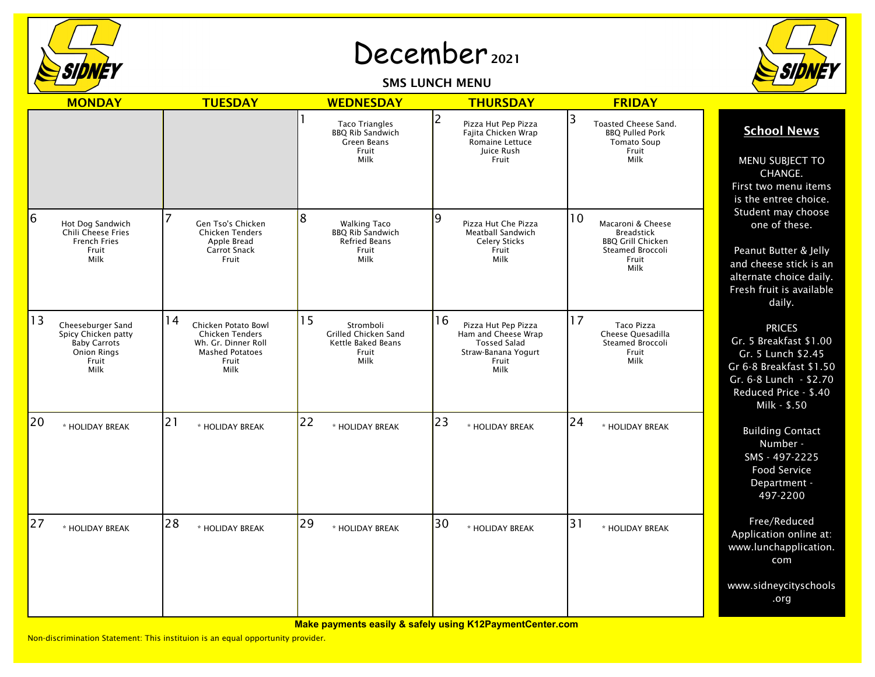

## December 2021

SMS LUNCH MENU



|    | <b>MONDAY</b>                                                                                          | <b>TUESDAY</b>                                                                                                        | <b>WEDNESDAY</b>                                                                             | <b>THURSDAY</b>                                                                                                 | <b>FRIDAY</b>                                                                                                 |                                                                                                                                                             |
|----|--------------------------------------------------------------------------------------------------------|-----------------------------------------------------------------------------------------------------------------------|----------------------------------------------------------------------------------------------|-----------------------------------------------------------------------------------------------------------------|---------------------------------------------------------------------------------------------------------------|-------------------------------------------------------------------------------------------------------------------------------------------------------------|
|    |                                                                                                        |                                                                                                                       | <b>Taco Triangles</b><br><b>BBQ Rib Sandwich</b><br>Green Beans<br>Fruit<br>Milk             | 2<br>Pizza Hut Pep Pizza<br>Fajita Chicken Wrap<br>Romaine Lettuce<br>Juice Rush<br>Fruit                       | 3<br>Toasted Cheese Sand.<br><b>BBQ Pulled Pork</b><br><b>Tomato Soup</b><br>Fruit<br>Milk                    | <b>School News</b><br>MENU SUBJECT TO<br>CHANGE.<br>First two menu items<br>is the entree choice.                                                           |
| 6  | Hot Dog Sandwich<br>Chili Cheese Fries<br>French Fries<br>Fruit<br>Milk                                | Gen Tso's Chicken<br>Chicken Tenders<br>Apple Bread<br><b>Carrot Snack</b><br>Fruit                                   | 8<br><b>Walking Taco</b><br><b>BBQ Rib Sandwich</b><br><b>Refried Beans</b><br>Fruit<br>Milk | 9<br>Pizza Hut Che Pizza<br>Meatball Sandwich<br><b>Celery Sticks</b><br>Fruit<br>Milk                          | 10<br>Macaroni & Cheese<br><b>Breadstick</b><br><b>BBQ Grill Chicken</b><br>Steamed Broccoli<br>Fruit<br>Milk | Student may choose<br>one of these.<br>Peanut Butter & Jelly<br>and cheese stick is an<br>alternate choice daily.<br>Fresh fruit is available<br>daily.     |
| 13 | Cheeseburger Sand<br>Spicy Chicken patty<br><b>Baby Carrots</b><br><b>Onion Rings</b><br>Fruit<br>Milk | 14<br>Chicken Potato Bowl<br><b>Chicken Tenders</b><br>Wh. Gr. Dinner Roll<br><b>Mashed Potatoes</b><br>Fruit<br>Milk | 15<br>Stromboli<br><b>Grilled Chicken Sand</b><br>Kettle Baked Beans<br>Fruit<br>Milk        | 16<br>Pizza Hut Pep Pizza<br>Ham and Cheese Wrap<br><b>Tossed Salad</b><br>Straw-Banana Yogurt<br>Fruit<br>Milk | 17<br>Taco Pizza<br>Cheese Quesadilla<br>Steamed Broccoli<br>Fruit<br>Milk                                    | <b>PRICES</b><br>Gr. 5 Breakfast \$1.00<br>Gr. 5 Lunch \$2.45<br>Gr 6-8 Breakfast \$1.50<br>Gr. 6-8 Lunch - \$2.70<br>Reduced Price - \$.40<br>Milk - \$.50 |
| 20 | * HOLIDAY BREAK                                                                                        | 21<br>* HOLIDAY BREAK                                                                                                 | 22<br>* HOLIDAY BREAK                                                                        | 23<br>* HOLIDAY BREAK                                                                                           | 24<br>* HOLIDAY BREAK                                                                                         | <b>Building Contact</b><br>Number -<br>SMS - 497-2225<br>Food Service<br>Department -<br>497-2200                                                           |
| 27 | * HOLIDAY BREAK                                                                                        | 28<br>* HOLIDAY BREAK                                                                                                 | 29<br>* HOLIDAY BREAK                                                                        | 30<br>* HOLIDAY BREAK                                                                                           | 31<br>* HOLIDAY BREAK                                                                                         | Free/Reduced<br>Application online at:<br>www.lunchapplication.<br>com                                                                                      |
|    |                                                                                                        |                                                                                                                       |                                                                                              |                                                                                                                 |                                                                                                               | www.sidneycityschools<br>.org                                                                                                                               |

**Make payments easily & safely using K12PaymentCenter.com**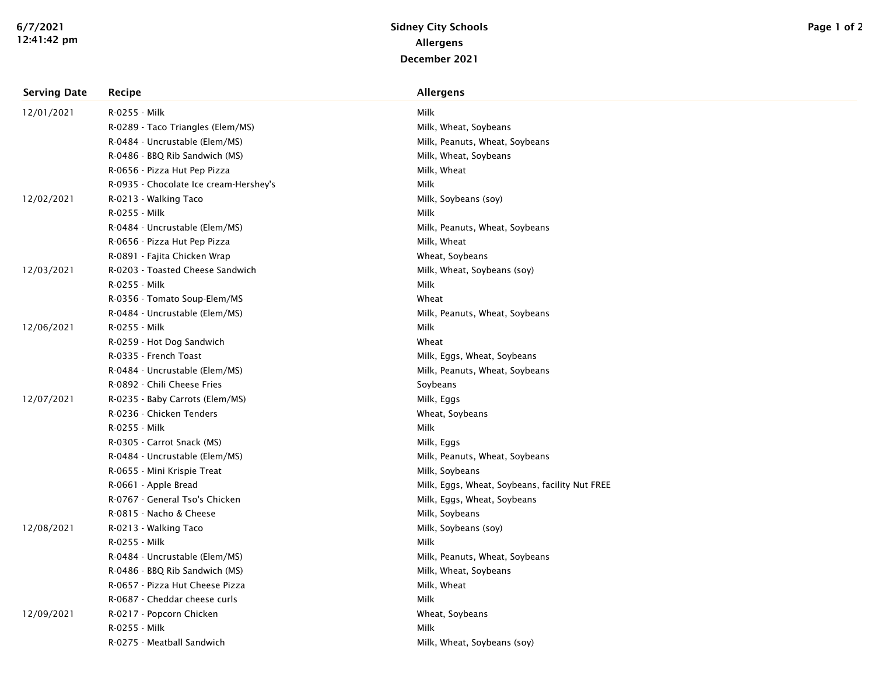| <b>Serving Date</b> | <b>Recipe</b>                          | <b>Allergens</b>                               |
|---------------------|----------------------------------------|------------------------------------------------|
| 12/01/2021          | R-0255 - Milk                          | Milk                                           |
|                     | R-0289 - Taco Triangles (Elem/MS)      | Milk, Wheat, Soybeans                          |
|                     | R-0484 - Uncrustable (Elem/MS)         | Milk, Peanuts, Wheat, Soybeans                 |
|                     | R-0486 - BBQ Rib Sandwich (MS)         | Milk, Wheat, Soybeans                          |
|                     | R-0656 - Pizza Hut Pep Pizza           | Milk, Wheat                                    |
|                     | R-0935 - Chocolate Ice cream-Hershey's | Milk                                           |
| 12/02/2021          | R-0213 - Walking Taco                  | Milk, Soybeans (soy)                           |
|                     | R-0255 - Milk                          | Milk                                           |
|                     | R-0484 - Uncrustable (Elem/MS)         | Milk, Peanuts, Wheat, Soybeans                 |
|                     | R-0656 - Pizza Hut Pep Pizza           | Milk, Wheat                                    |
|                     | R-0891 - Fajita Chicken Wrap           | Wheat, Soybeans                                |
| 12/03/2021          | R-0203 - Toasted Cheese Sandwich       | Milk, Wheat, Soybeans (soy)                    |
|                     | R-0255 - Milk                          | Milk                                           |
|                     | R-0356 - Tomato Soup-Elem/MS           | Wheat                                          |
|                     | R-0484 - Uncrustable (Elem/MS)         | Milk, Peanuts, Wheat, Soybeans                 |
| 12/06/2021          | R-0255 - Milk                          | Milk                                           |
|                     | R-0259 - Hot Dog Sandwich              | Wheat                                          |
|                     | R-0335 - French Toast                  | Milk, Eggs, Wheat, Soybeans                    |
|                     | R-0484 - Uncrustable (Elem/MS)         | Milk, Peanuts, Wheat, Soybeans                 |
|                     | R-0892 - Chili Cheese Fries            | Soybeans                                       |
| 12/07/2021          | R-0235 - Baby Carrots (Elem/MS)        | Milk, Eggs                                     |
|                     | R-0236 - Chicken Tenders               | Wheat, Soybeans                                |
|                     | R-0255 - Milk                          | Milk                                           |
|                     | R-0305 - Carrot Snack (MS)             | Milk, Eggs                                     |
|                     | R-0484 - Uncrustable (Elem/MS)         | Milk, Peanuts, Wheat, Soybeans                 |
|                     | R-0655 - Mini Krispie Treat            | Milk, Soybeans                                 |
|                     | R-0661 - Apple Bread                   | Milk, Eggs, Wheat, Soybeans, facility Nut FREE |
|                     | R-0767 - General Tso's Chicken         | Milk, Eggs, Wheat, Soybeans                    |
|                     | R-0815 - Nacho & Cheese                | Milk, Soybeans                                 |
| 12/08/2021          | R-0213 - Walking Taco                  | Milk, Soybeans (soy)                           |
|                     | R-0255 - Milk                          | Milk                                           |
|                     | R-0484 - Uncrustable (Elem/MS)         | Milk, Peanuts, Wheat, Soybeans                 |
|                     | R-0486 - BBQ Rib Sandwich (MS)         | Milk, Wheat, Soybeans                          |
|                     | R-0657 - Pizza Hut Cheese Pizza        | Milk, Wheat                                    |
|                     | R-0687 - Cheddar cheese curls          | Milk                                           |
| 12/09/2021          | R-0217 - Popcorn Chicken               | Wheat, Soybeans                                |
|                     | R-0255 - Milk                          | Milk                                           |
|                     | R-0275 - Meatball Sandwich             | Milk, Wheat, Soybeans (soy)                    |